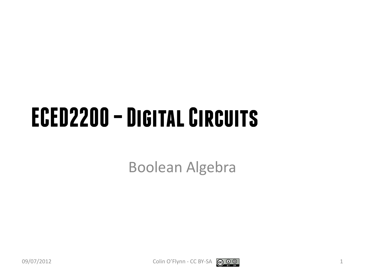#### **ECED2200 –Digital Circuits**

Boolean Algebra



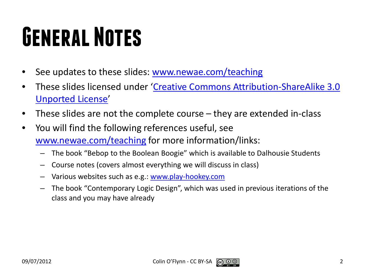# **General Notes**

- See updates to these slides: [www.newae.com/teaching](http://www.newae.com/teaching)
- These slides licensed under '[Creative Commons Attribution-ShareAlike](http://creativecommons.org/licenses/by-sa/3.0/) 3.0 [Unported](http://creativecommons.org/licenses/by-sa/3.0/) License'
- These slides are not the complete course they are extended in-class
- You will find the following references useful, see [www.newae.com/teaching](http://www.newae.com/teaching) for more information/links:
	- The book "Bebop to the Boolean Boogie" which is available to Dalhousie Students
	- Course notes (covers almost everything we will discuss in class)
	- Various websites such as e.g.: [www.play-hookey.com](http://www.play-hookey.com/)
	- The book "Contemporary Logic Design", which was used in previous iterations of the class and you may have already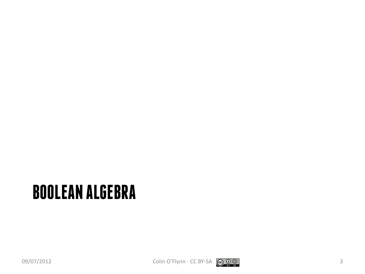#### **BOOLEAN ALGEBRA**

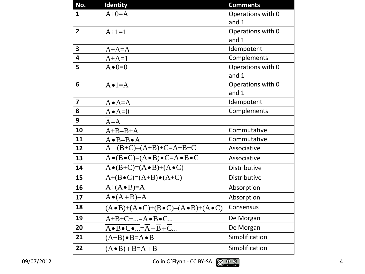| No.                     | <b>Identity</b>                                                                           | <b>Comments</b>   |
|-------------------------|-------------------------------------------------------------------------------------------|-------------------|
| $\mathbf{1}$            | $A+0=A$                                                                                   | Operations with 0 |
|                         |                                                                                           | and 1             |
| $\overline{2}$          | $A+1=1$                                                                                   | Operations with 0 |
|                         |                                                                                           | and 1             |
| $\overline{\mathbf{3}}$ | $A+A=A$                                                                                   | Idempotent        |
| $\overline{\mathbf{4}}$ | $A+\overline{A}=1$                                                                        | Complements       |
| 5                       | $A \bullet 0=0$                                                                           | Operations with 0 |
|                         |                                                                                           | and 1             |
| 6                       | $A \bullet 1 = A$                                                                         | Operations with 0 |
|                         |                                                                                           | and 1             |
| $\overline{\mathbf{z}}$ | $A \bullet A = A$                                                                         | Idempotent        |
| 8                       | $A \bullet \overline{A} = 0$                                                              | Complements       |
| 9                       | $A = A$                                                                                   |                   |
| 10                      | $A+B=B+A$                                                                                 | Commutative       |
| 11                      | $A \bullet B = B \bullet A$                                                               | Commutative       |
| 12                      | $A+(B+C)=(A+B)+C=A+B+C$                                                                   | Associative       |
| 13                      | $A \bullet (B \bullet C) = (A \bullet B) \bullet C = A \bullet B \bullet C$               | Associative       |
| 14                      | $A \bullet (B+C)=(A \bullet B)+(A \bullet C)$                                             | Distributive      |
| 15                      | $A+(B\bullet C)=(A+B)\bullet (A+C)$                                                       | Distributive      |
| 16                      | $A+(A \bullet B)=A$                                                                       | Absorption        |
| 17                      | $A \bullet (A + B) = A$                                                                   | Absorption        |
| 18                      | $(A \bullet B)+(A \bullet C)+(B \bullet C)=(A \bullet B)+(A \bullet C)$                   | Consensus         |
| 19                      | $\overline{A+B+C+}=\overline{A}\bullet\overline{B}\bullet\overline{C}$                    | De Morgan         |
| 20                      | $\overline{A \bullet B \bullet C \bullet } = \overline{A} + \overline{B} + \overline{C} $ | De Morgan         |
| 21                      | $(A+\overline{B}) \bullet B = A \bullet B$                                                | Simplification    |
| 22                      | $(A \bullet B) + B = A + B$                                                               | Simplification    |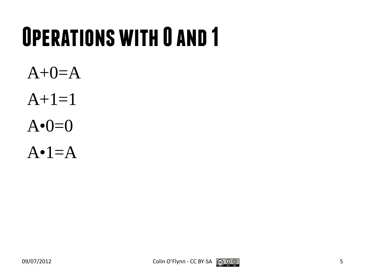## **Operations with 0 and 1**

 $A+0=A$  $A+1=1$  $A \cdot 0 = 0$  $A \cdot 1 = A$ 

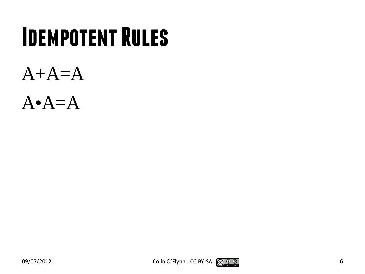#### **Idempotent Rules**







$$
\bigcirc \hspace{-7.5pt} \bullet \hspace{-7.5pt} \circ \hspace{-7.5pt} \bullet
$$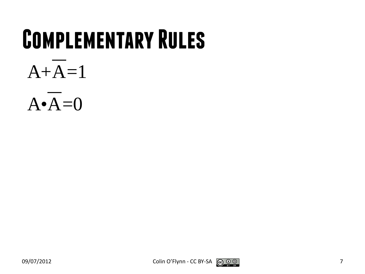#### **Complementary Rules**

#### $A+A=1$





$$
\bigcirc \limits_{\scriptscriptstyle \mathbf{F}}\mathbf{O} \hspace{0.1cm} \bigcirc \limits_{\scriptscriptstyle \mathbf{F}}\mathbf{O}
$$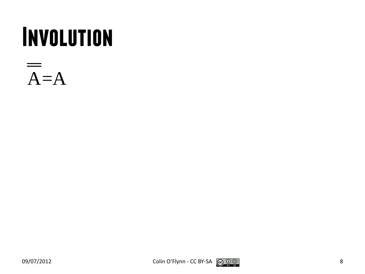#### **Involution**

$$
\overline{A} = A
$$



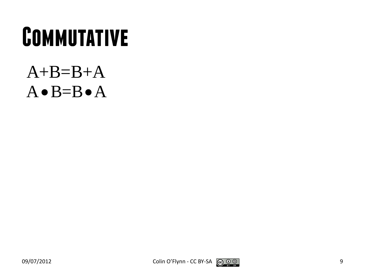#### **Commutative**

#### $A+B=B+A$  $A \bullet B = B \bullet A$



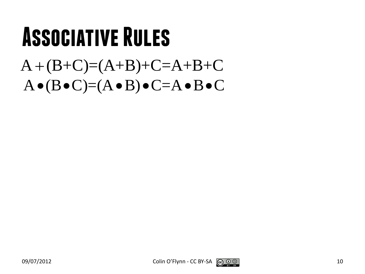#### **Associative Rules**

#### $A + (B+C) = (A+B)+C = A+B+C$  $A \bullet (B \bullet C) = (A \bullet B) \bullet C = A \bullet B \bullet C$



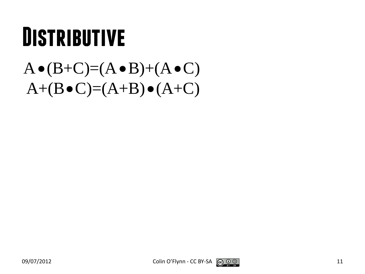#### **Distributive**

#### $A \bullet (B+C)=(A \bullet B)+(A \bullet C)$  $A+(B\bullet C)=(A+B)\bullet (A+C)$



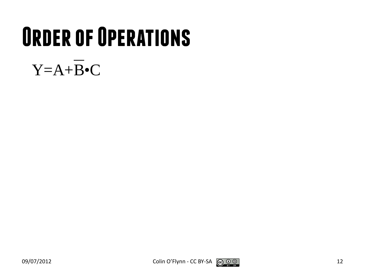# **Order of Operations**

#### $Y = A + \overline{B} \cdot C$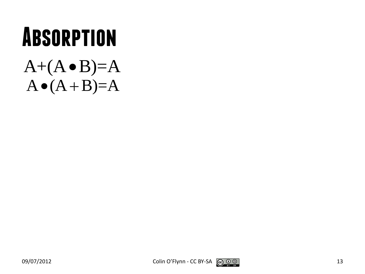#### **Absorption**  $A+(A \bullet B)=A$

 $A \bullet (A + B)=A$ 

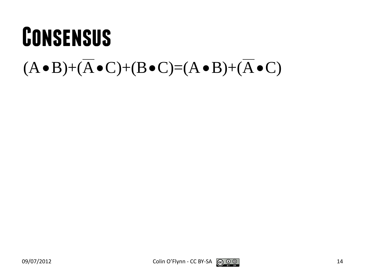#### **Consensus**  $(A \bullet B) + (\overline{A} \bullet C) + (B \bullet C) = (A \bullet B) + (\overline{A} \bullet C)$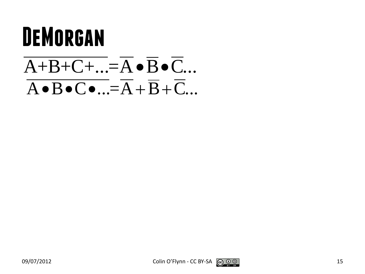#### **DeMorgan**

#### $\overline{A+B+C+...}=\overline{A}\bullet\overline{B}\bullet\overline{C}...$  $\overline{A \bullet B \bullet C \bullet ...} = \overline{A} + \overline{B} + \overline{C} ...$



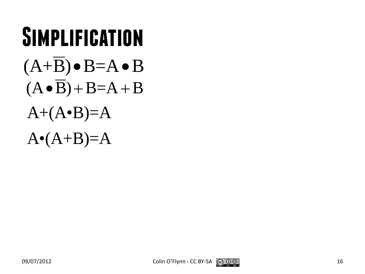#### **Simplification**  $(A+B) \bullet B = A \bullet B$  $(A \bullet \overline{B}) + B = A + B$  $A+(A \cdot B)=A$  $A \cdot (A+B)=A$

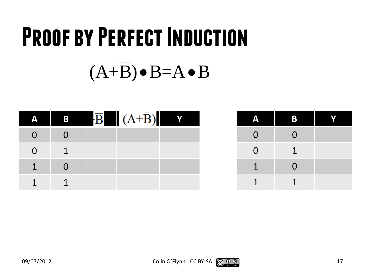# **Proof by Perfect Induction**  $(A+\overline{B})\bullet B = A \bullet B$

|  | $\overline{B}$ $(A+\overline{B})$ Y |  |
|--|-------------------------------------|--|
|  |                                     |  |
|  |                                     |  |
|  |                                     |  |
|  |                                     |  |

| Д              | B              |  |
|----------------|----------------|--|
| $\mathbf{0}$   | $\overline{0}$ |  |
| $\overline{0}$ | $\mathbf 1$    |  |
| $\mathbf 1$    | $\overline{0}$ |  |
|                |                |  |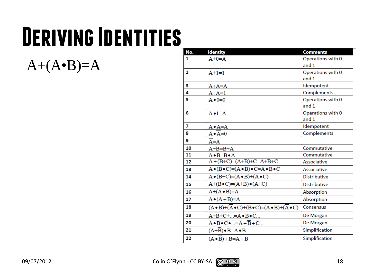## **Deriving Identities**

 $A+(A \cdot B)=A$ 

| No. | <b>Identity</b>                                                                             | <b>Comments</b>     |
|-----|---------------------------------------------------------------------------------------------|---------------------|
| 1   | $A+0=A$                                                                                     | Operations with 0   |
|     |                                                                                             | and 1               |
| 2   | $A+1=1$                                                                                     | Operations with 0   |
|     |                                                                                             | and 1               |
| з   | $A+A=A$                                                                                     | Idempotent          |
| 4   | $A+A=1$                                                                                     | Complements         |
| 5   | $A \bullet 0 = 0$                                                                           | Operations with 0   |
|     |                                                                                             | and 1               |
| 6   | $A \bullet 1 = A$                                                                           | Operations with 0   |
|     |                                                                                             | and 1               |
| 7   | $A \cdot A = A$                                                                             | Idempotent          |
| 8   | $A \cdot A = 0$                                                                             | Complements         |
| 9   | A=A                                                                                         |                     |
| 10  | $A+B=B+A$                                                                                   | Commutative         |
| 11  | $A \bullet B = B \bullet A$                                                                 | Commutative         |
| 12  | $A+(B+C)=(A+B)+C=A+B+C$                                                                     | Associative         |
| 13  | $A \bullet (B \bullet C) = (A \bullet B) \bullet C = A \bullet B \bullet C$                 | Associative         |
| 14  | $A \bullet (B+C)=(A \bullet B)+(A \bullet C)$                                               | <b>Distributive</b> |
| 15  | $A+(B\bullet C)=(A+B)\bullet (A+C)$                                                         | <b>Distributive</b> |
| 16  | $A+(A \bullet B)=A$                                                                         | Absorption          |
| 17  | $A \bullet (A + B)=A$                                                                       | Absorption          |
| 18  | $(A \cdot B) + (\overline{A} \cdot C) + (B \cdot C) = (A \cdot B) + (\overline{A} \cdot C)$ | Consensus           |
| 19  | $\overline{A+B+C+}=\overline{A}\bullet\overline{B}\bullet\overline{C}$                      | De Morgan           |
| 20  | $\overline{A \bullet B \bullet C \bullet } = \overline{A} + \overline{B} + \overline{C} $   | De Morgan           |
| 21  | $(A+B) \cdot B = A \cdot B$                                                                 | Simplification      |
| 22  | $(A \cdot B) + B = A + B$                                                                   | Simplification      |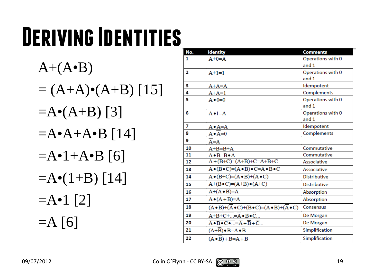# **Deriving Identities**

 $A+(A \bullet B)$  $= (A+A) \cdot (A+B)$  [15]  $=$ A•(A+B) [3]  $=$ A•A+A•B [14]  $=$ A•1+A•B [6]  $=$ A $\bullet$ (1+B) [14]  $=$ A•1 [2]  $=$ A [6]

| No. | <b>Identity</b>                                                                             | <b>Comments</b>     |
|-----|---------------------------------------------------------------------------------------------|---------------------|
| 1   | $A+0=A$                                                                                     | Operations with 0   |
|     |                                                                                             | and 1               |
| 2   | $A+1=1$                                                                                     | Operations with 0   |
|     |                                                                                             | and 1               |
| з   | $A+A=A$                                                                                     | Idempotent          |
| 4   | $A+A=1$                                                                                     | Complements         |
| 5   | $A \bullet 0 = 0$                                                                           | Operations with 0   |
|     |                                                                                             | and 1               |
| 6   | $A \bullet 1 = A$                                                                           | Operations with 0   |
|     |                                                                                             | and 1               |
| 7   | $A \bullet A = A$                                                                           | Idempotent          |
| 8   | $A \bullet A = 0$                                                                           | Complements         |
| 9   | $A = A$                                                                                     |                     |
| 10  | $A+B=B+A$                                                                                   | Commutative         |
| 11  | $A \bullet B = B \bullet A$                                                                 | Commutative         |
| 12  | $A+(B+C)=(A+B)+C=A+B+C$                                                                     | Associative         |
| 13  | $A \bullet (B \bullet C) = (A \bullet B) \bullet C = A \bullet B \bullet C$                 | Associative         |
| 14  | $A \bullet (B+C)=(A \bullet B)+(A \bullet C)$                                               | <b>Distributive</b> |
| 15  | $A+(B\bullet C)=(A+B)\bullet (A+C)$                                                         | <b>Distributive</b> |
| 16  | $A+(A \bullet B)=A$                                                                         | Absorption          |
| 17  | $A \bullet (A + B)=A$                                                                       | Absorption          |
| 18  | $(A \cdot B) + (\overline{A} \cdot C) + (B \cdot C) = (A \cdot B) + (\overline{A} \cdot C)$ | Consensus           |
| 19  | $\overline{A+B+C+}=\overline{A}\bullet\overline{B}\bullet\overline{C}$                      | De Morgan           |
| 20  | $\overline{A \bullet B \bullet C \bullet } = \overline{A} + \overline{B} + \overline{C} $   | De Morgan           |
| 21  | $(A+B) \cdot B = A \cdot B$                                                                 | Simplification      |
| 22  | $(A \cdot B) + B = A + B$                                                                   | Simplification      |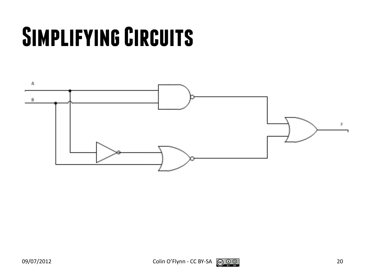# **Simplifying Circuits**

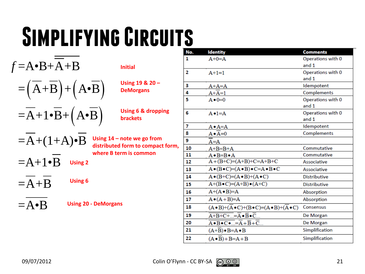# **Simplifying Circuits**

| $f = A \cdot B + A + B$                                                           | Initial                                                           |
|-----------------------------------------------------------------------------------|-------------------------------------------------------------------|
| $=\left(\overline{A} + \overline{B}\right) + \left(A \bullet \overline{B}\right)$ | Using 19 & 20 -<br><b>DeMorgans</b>                               |
| $=\overline{A}+1\bullet\overline{B}+\left(A\bullet\overline{B}\right)$            | <b>Using 6 &amp; dropping</b><br><b>brackets</b>                  |
| $=A+(1+A)\bullet B$                                                               | Using $14$ – note we go from<br>distributed form to compact form, |
| $=A+1\bullet B$<br><b>Using 2</b>                                                 | where B term is common                                            |
| <b>Using 6</b><br>$= A + B$                                                       |                                                                   |
| $=\mathbf{A}\bullet\mathbf{B}$                                                    | <b>Using 20 - DeMorgans</b>                                       |

| No. | <b>Identity</b>                                                                             | <b>Comments</b>     |
|-----|---------------------------------------------------------------------------------------------|---------------------|
| 1   | $A+0=A$                                                                                     | Operations with 0   |
|     |                                                                                             | and 1               |
| 2   | $A+1=1$                                                                                     | Operations with 0   |
|     |                                                                                             | and 1               |
| з   | $A+A=A$                                                                                     | Idempotent          |
| 4   | $A+A=1$                                                                                     | Complements         |
| 5   | $A \bullet 0 = 0$                                                                           | Operations with 0   |
|     |                                                                                             | and 1               |
| 6   | $A \cdot 1 = A$                                                                             | Operations with 0   |
|     |                                                                                             | and 1               |
| 7   | $A \bullet A = A$                                                                           | Idempotent          |
| 8   | $A \cdot \overline{A} = 0$                                                                  | Complements         |
| 9   | $A = A$                                                                                     |                     |
| 10  | $A+B=B+A$                                                                                   | Commutative         |
| 11  | $A \cdot B = B \cdot A$                                                                     | Commutative         |
| 12  | $A+(B+C)=(A+B)+C=A+B+C$                                                                     | Associative         |
| 13  | $A \bullet (B \bullet C) = (A \bullet B) \bullet C = A \bullet B \bullet C$                 | Associative         |
| 14  | $A \bullet (B+C)=(A \bullet B)+(A \bullet C)$                                               | <b>Distributive</b> |
| 15  | $A+(B\bullet C)=(A+B)\bullet (A+C)$                                                         | <b>Distributive</b> |
| 16  | $A+(A \bullet B)=A$                                                                         | Absorption          |
| 17  | $A \bullet (A + B)=A$                                                                       | Absorption          |
| 18  | $(A \cdot B) + (\overline{A} \cdot C) + (B \cdot C) = (A \cdot B) + (\overline{A} \cdot C)$ | Consensus           |
| 19  | $\overline{A+B+C+}=\overline{A}\bullet\overline{B}\bullet\overline{C}$                      | De Morgan           |
| 20  | $\overline{A \bullet B \bullet C \bullet } = \overline{A} + \overline{B} + \overline{C} $   | De Morgan           |
| 21  | $(A+B) \cdot B = A \cdot B$                                                                 | Simplification      |
| 22  | $(A \cdot B) + B = A + B$                                                                   | Simplification      |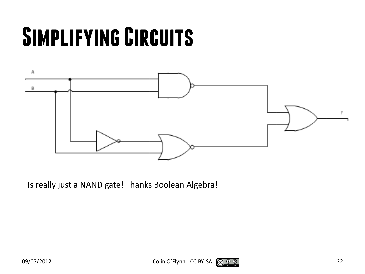# **Simplifying Circuits**



Is really just a NAND gate! Thanks Boolean Algebra!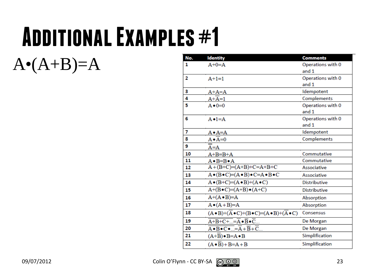## **Additional Examples #1**

 $A \cdot (A+B)=A$ 

| No. | <b>Identity</b>                                                                             | <b>Comments</b>            |
|-----|---------------------------------------------------------------------------------------------|----------------------------|
| 1   | $A+0=A$                                                                                     | Operations with 0          |
|     |                                                                                             | and 1                      |
| 2   | $A+1=1$                                                                                     | Operations with 0          |
|     |                                                                                             | and 1                      |
| з   | $A+A=A$                                                                                     | Idempotent                 |
| 4   | $A+A=1$                                                                                     | Complements                |
| 5   | $A \bullet 0 = 0$                                                                           | Operations with 0          |
|     |                                                                                             | and 1                      |
| 6   | $A \bullet 1 = A$                                                                           | Operations with 0<br>and 1 |
| 7   | $A \bullet A = A$                                                                           | Idempotent                 |
| 8   | $A \cdot A = 0$                                                                             | Complements                |
| 9   | A=A                                                                                         |                            |
| 10  | $A+B=B+A$                                                                                   | Commutative                |
| 11  | $A \cdot B = B \cdot A$                                                                     | Commutative                |
| 12  | $A+(B+C)=(A+B)+C=A+B+C$                                                                     | Associative                |
| 13  | $A \bullet (B \bullet C) = (A \bullet B) \bullet C = A \bullet B \bullet C$                 | Associative                |
| 14  | $A \bullet (B+C)=(A \bullet B)+(A \bullet C)$                                               | <b>Distributive</b>        |
| 15  | $A+(B\bullet C)=(A+B)\bullet (A+C)$                                                         | <b>Distributive</b>        |
| 16  | $A+(A \bullet B)=A$                                                                         | Absorption                 |
| 17  | $A \bullet (A + B)=A$                                                                       | Absorption                 |
| 18  | $(A \cdot B) + (\overline{A} \cdot C) + (B \cdot C) = (A \cdot B) + (\overline{A} \cdot C)$ | Consensus                  |
| 19  | $\overline{A+B+C+}=\overline{A}\bullet\overline{B}\bullet\overline{C}$                      | De Morgan                  |
| 20  | $\overline{A \bullet B \bullet C \bullet } = \overline{A} + \overline{B} + \overline{C} $   | De Morgan                  |
| 21  | $(A+B) \cdot B = A \cdot B$                                                                 | Simplification             |
| 22  | $(A \cdot B) + B = A + B$                                                                   | Simplification             |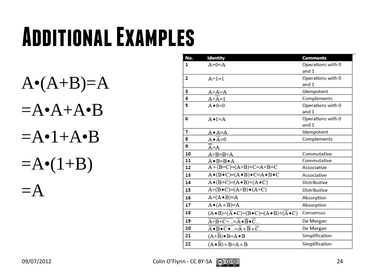## **Additional Examples**

 $A \cdot (A+B)=A$  $=$ A•A+A•B  $=$ A•1+A•B  $=$ A $\bullet$ (1+B)  $=A$ 

| No. | <b>Identity</b>                                                                             | <b>Comments</b>     |
|-----|---------------------------------------------------------------------------------------------|---------------------|
| 1   | $A+0=A$                                                                                     | Operations with 0   |
|     |                                                                                             | and 1               |
| 2   | $A+1=1$                                                                                     | Operations with 0   |
|     |                                                                                             | and 1               |
| з   | $A+A=A$                                                                                     | Idempotent          |
| 4   | $A+A=1$                                                                                     | Complements         |
| 5   | $A \bullet 0 = 0$                                                                           | Operations with 0   |
|     |                                                                                             | and 1               |
| 6   | $A \cdot 1 = A$                                                                             | Operations with 0   |
|     |                                                                                             | and 1               |
| 7   | <u>A∙A=A</u>                                                                                | Idempotent          |
| 8   | $A \cdot \overline{A} = 0$                                                                  | Complements         |
| 9   | A=A                                                                                         |                     |
| 10  | $A+B=B+A$                                                                                   | Commutative         |
| 11  | $A \cdot B = B \cdot A$                                                                     | Commutative         |
| 12  | $A + (B+C) = (A+B)+C=A+B+C$                                                                 | Associative         |
| 13  | $A \bullet (B \bullet C) = (A \bullet B) \bullet C = A \bullet B \bullet C$                 | Associative         |
| 14  | $A \bullet (B+C)=(A \bullet B)+(A \bullet C)$                                               | <b>Distributive</b> |
| 15  | $A+(B\bullet C)=(A+B)\bullet (A+C)$                                                         | <b>Distributive</b> |
| 16  | $A+(A \bullet B)=A$                                                                         | Absorption          |
| 17  | $A \bullet (A + B)=A$                                                                       | Absorption          |
| 18  | $(A \cdot B) + (\overline{A} \cdot C) + (B \cdot C) = (A \cdot B) + (\overline{A} \cdot C)$ | Consensus           |
| 19  | $\overline{A+B+C+}=\overline{A}\bullet\overline{B}\bullet\overline{C}$                      | De Morgan           |
| 20  | $\overline{A \bullet B \bullet C \bullet } = \overline{A} + \overline{B} + \overline{C} $   | De Morgan           |
| 21  | $(A+B) \cdot B = A \cdot B$                                                                 | Simplification      |
| 22  | $(A \cdot B) + B = A + B$                                                                   | Simplification      |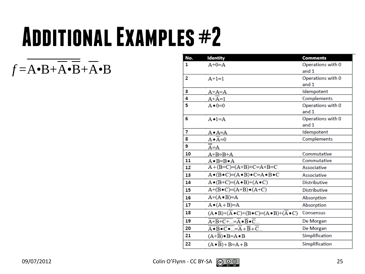### **Additional Examples #2**

$$
f = A \cdot B + \overline{A} \cdot \overline{B} + \overline{A} \cdot B
$$

| No. | <b>Identity</b>                                                                             | <b>Comments</b>     |
|-----|---------------------------------------------------------------------------------------------|---------------------|
| 1   | $A+0=A$                                                                                     | Operations with 0   |
|     |                                                                                             | and 1               |
| 2   | $A+1=1$                                                                                     | Operations with 0   |
|     |                                                                                             | and 1               |
| з   | $A+A=A$                                                                                     | Idempotent          |
| 4   | $A+A=1$                                                                                     | Complements         |
| 5   | $A \bullet 0 = 0$                                                                           | Operations with 0   |
|     |                                                                                             | and 1               |
| 6   | $A \cdot 1 = A$                                                                             | Operations with 0   |
|     |                                                                                             | and 1               |
| 7   | $A \cdot A = A$                                                                             | Idempotent          |
| 8   | $A \cdot A = 0$                                                                             | Complements         |
| 9   | $A = A$                                                                                     |                     |
| 10  | $A+B=B+A$                                                                                   | Commutative         |
| 11  | $A \bullet B = B \bullet A$                                                                 | Commutative         |
| 12  | $A+(B+C)=(A+B)+C=A+B+C$                                                                     | Associative         |
| 13  | $A \bullet (B \bullet C) = (A \bullet B) \bullet C = A \bullet B \bullet C$                 | Associative         |
| 14  | $A \bullet (B+C)=(A \bullet B)+(A \bullet C)$                                               | <b>Distributive</b> |
| 15  | $A+(B\bullet C)=(A+B)\bullet (A+C)$                                                         | <b>Distributive</b> |
| 16  | $A+(A \bullet B)=A$                                                                         | Absorption          |
| 17  | $A \bullet (A + B)=A$                                                                       | Absorption          |
| 18  | $(A \cdot B) + (\overline{A} \cdot C) + (B \cdot C) = (A \cdot B) + (\overline{A} \cdot C)$ | Consensus           |
| 19  | $\overline{A+B+C+}=\overline{A}\bullet\overline{B}\bullet\overline{C}$                      | De Morgan           |
| 20  | $\overline{A \bullet B \bullet C \bullet } = \overline{A} + \overline{B} + \overline{C} $   | De Morgan           |
| 21  | $(A+B) \cdot B = A \cdot B$                                                                 | Simplification      |
| 22  | $(A \cdot \overline{B}) + B = A + B$                                                        | Simplification      |

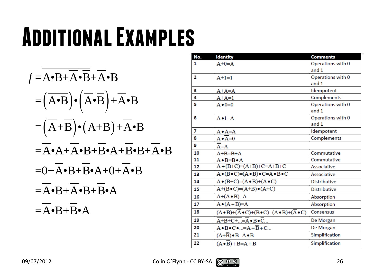### **Additional Examples**

$$
f = \overline{A \cdot B} + \overline{A} \cdot \overline{B} + \overline{A} \cdot B
$$
  
\n
$$
= (\overline{A \cdot B}) \cdot (\overline{\overline{A} \cdot B}) + \overline{A} \cdot B
$$
  
\n
$$
= (\overline{A} + \overline{B}) \cdot (A + B) + \overline{A} \cdot B
$$
  
\n
$$
= \overline{A} \cdot A + \overline{A} \cdot B + \overline{B} \cdot A + \overline{B} \cdot B + \overline{A} \cdot B
$$
  
\n
$$
= 0 + \overline{A} \cdot B + \overline{B} \cdot A + 0 + \overline{A} \cdot B
$$
  
\n
$$
= \overline{A} \cdot B + \overline{A} \cdot B + \overline{B} \cdot A
$$
  
\n
$$
= \overline{A} \cdot B + \overline{B} \cdot A
$$

| No. | <b>Identity</b>                                                                           | <b>Comments</b>     |
|-----|-------------------------------------------------------------------------------------------|---------------------|
| 1   | $A+0=A$                                                                                   | Operations with 0   |
|     |                                                                                           | and 1               |
| 2   | $A+1=1$                                                                                   | Operations with 0   |
|     |                                                                                           | and 1               |
| 3   | $A+A=A$                                                                                   | Idempotent          |
| 4   | $A+A=1$                                                                                   | Complements         |
| 5   | $A \bullet 0 = 0$                                                                         | Operations with 0   |
|     |                                                                                           | and $1$             |
| 6   | $A \cdot 1 = A$                                                                           | Operations with 0   |
|     |                                                                                           | and 1               |
| 7   | $A \bullet A = A$                                                                         | Idempotent          |
| 8   | $A \cdot A = 0$                                                                           | Complements         |
| 9   | $A = A$                                                                                   |                     |
| 10  | $A+B=B+A$                                                                                 | Commutative         |
| 11  | $A \bullet B = B \bullet A$                                                               | Commutative         |
| 12  | $A+(B+C)=(A+B)+C=A+B+C$                                                                   | Associative         |
| 13  | $A \bullet (B \bullet C) = (A \bullet B) \bullet C = A \bullet B \bullet C$               | Associative         |
| 14  | $A \bullet (B+C)=(A \bullet B)+(A \bullet C)$                                             | <b>Distributive</b> |
| 15  | $A+(B\bullet C)=(A+B)\bullet (A+C)$                                                       | <b>Distributive</b> |
| 16  | $A+(A \bullet B)=A$                                                                       | Absorption          |
| 17  | $A \bullet (A + B)=A$                                                                     | Absorption          |
| 18  | $(A \bullet B) + (A \bullet C) + (B \bullet C) = (A \bullet B) + (A \bullet C)$           | Consensus           |
| 19  | $\overline{A+B+C+}=\overline{A}\bullet\overline{B}\bullet\overline{C}$                    | De Morgan           |
| 20  | $\overline{A \bullet B \bullet C \bullet } = \overline{A} + \overline{B} + \overline{C} $ | De Morgan           |
| 21  | $(A+B) \cdot B = A \cdot B$                                                               | Simplification      |
| 22  | $(A \cdot B) + B = A + B$                                                                 | Simplification      |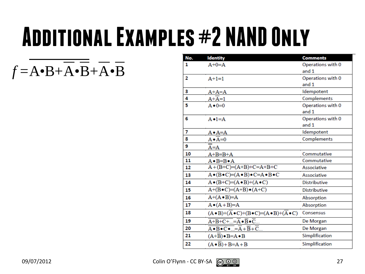## **Additional Examples #2 NAND Only**

*f* =A•B+A•B+A•B

| No. | <b>Identity</b>                                                                                     | <b>Comments</b>     |
|-----|-----------------------------------------------------------------------------------------------------|---------------------|
| 1   | $A+0=A$                                                                                             | Operations with 0   |
|     |                                                                                                     | and 1               |
| 2   | $A+1=1$                                                                                             | Operations with 0   |
|     |                                                                                                     | and 1               |
| з   | $A+A=A$                                                                                             | Idempotent          |
| 4   | $A+A=1$                                                                                             | Complements         |
| 5   | $A \bullet 0 = 0$                                                                                   | Operations with 0   |
|     |                                                                                                     | and 1               |
| 6   | $A \bullet 1 = A$                                                                                   | Operations with 0   |
|     |                                                                                                     | and 1               |
| 7   | $A \bullet A = A$                                                                                   | Idempotent          |
| 8   | $A \cdot \overline{A} = 0$                                                                          | Complements         |
| 9   | $A = A$                                                                                             |                     |
| 10  | $A+B=B+A$                                                                                           | Commutative         |
| 11  | $A \bullet B = B \bullet A$                                                                         | Commutative         |
| 12  | $A+(B+C)=(A+B)+C=A+B+C$                                                                             | Associative         |
| 13  | $A \bullet (B \bullet C) = (A \bullet B) \bullet C = A \bullet B \bullet C$                         | Associative         |
| 14  | $A \bullet (B+C)=(A \bullet B)+(A \bullet C)$                                                       | <b>Distributive</b> |
| 15  | $A+(B\bullet C)=(A+B)\bullet (A+C)$                                                                 | <b>Distributive</b> |
| 16  | $A+(A \bullet B)=A$                                                                                 | Absorption          |
| 17  | $A \bullet (A + B)=A$                                                                               | Absorption          |
| 18  | $(A \cdot B) + (\overline{A} \cdot C) + (B \cdot C) = (A \cdot B) + (\overline{A} \cdot C)$         | Consensus           |
| 19  | $\overline{A+B+C+}=\overline{A}\bullet\overline{B}\bullet\overline{C}$                              | De Morgan           |
| 20  | $A \bullet \overline{B} \bullet \overline{C} \bullet  = \overline{A} + \overline{B} + \overline{C}$ | De Morgan           |
| 21  | $(A+B) \cdot B = A \cdot B$                                                                         | Simplification      |
| 22  | $(A \cdot B) + B = A + B$                                                                           | Simplification      |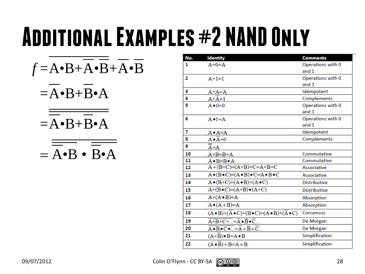## **Additional Examples #2 NAND Only**

$$
f = A \cdot B + \overline{A} \cdot \overline{B} + \overline{A} \cdot \overline{B}
$$

- $=$  $A \cdot B + B \cdot A$
- $=$  $A \cdot B + B \cdot A$

$$
=\overline{\overline{A\bullet B}\bullet\overline{B\bullet A}}
$$

| No.                     | <b>Identity</b>                                                                             | <b>Comments</b>     |
|-------------------------|---------------------------------------------------------------------------------------------|---------------------|
| 1                       | $A+0=A$                                                                                     | Operations with 0   |
|                         |                                                                                             | and 1               |
| $\overline{\mathbf{2}}$ | $A+1=1$                                                                                     | Operations with 0   |
|                         |                                                                                             | and 1               |
| з                       | $A+A=A$                                                                                     | Idempotent          |
| 4                       | $A+A=1$                                                                                     | Complements         |
| 5                       | $A \bullet 0 = 0$                                                                           | Operations with 0   |
|                         |                                                                                             | and 1               |
| 6                       | $A \bullet 1 = A$                                                                           | Operations with 0   |
|                         |                                                                                             | and 1               |
| 7                       | $A \bullet A = A$                                                                           | Idempotent          |
| 8                       | $A \cdot \overline{A} = 0$                                                                  | Complements         |
| 9                       | A=A                                                                                         |                     |
| 10                      | $A+B=B+A$                                                                                   | Commutative         |
| 11                      | $A \bullet B = B \bullet A$                                                                 | Commutative         |
| 12                      | $A+(B+C)=(A+B)+C=A+B+C$                                                                     | Associative         |
| 13                      | $A \bullet (B \bullet C) = (A \bullet B) \bullet C = A \bullet B \bullet C$                 | Associative         |
| 14                      | $A \bullet (B+C)=(A \bullet B)+(A \bullet C)$                                               | <b>Distributive</b> |
| 15                      | $A+(B\bullet C)=(A+B)\bullet (A+C)$                                                         | <b>Distributive</b> |
| 16                      | $A+(A \bullet B)=A$                                                                         | Absorption          |
| 17                      | $A \bullet (A + B)=A$                                                                       | Absorption          |
| 18                      | $(A \cdot B) + (\overline{A} \cdot C) + (B \cdot C) = (A \cdot B) + (\overline{A} \cdot C)$ | Consensus           |
| 19                      | $\overline{A+B+C+}=\overline{A}\bullet\overline{B}\bullet\overline{C}$                      | De Morgan           |
| 20                      | $\overline{A \bullet B \bullet C \bullet } = \overline{A} + \overline{B} + \overline{C} $   | De Morgan           |
| 21                      | $(A+B) \cdot B = A \cdot B$                                                                 | Simplification      |
| 22                      | $(A \cdot B) + B = A + B$                                                                   | Simplification      |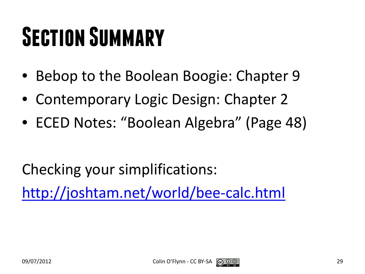# **Section Summary**

- Bebop to the Boolean Boogie: Chapter 9
- Contemporary Logic Design: Chapter 2
- ECED Notes: "Boolean Algebra" (Page 48)

Checking your simplifications:

<http://joshtam.net/world/bee-calc.html>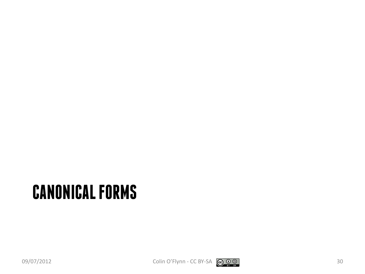#### **CANONICAL FORMS**

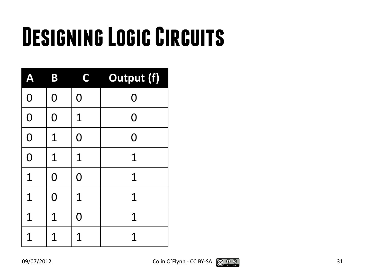# **Designing Logic Circuits**

| Ą              | B              | C              | <b>Output (f)</b> |
|----------------|----------------|----------------|-------------------|
| $\overline{O}$ | $\overline{0}$ | $\overline{0}$ | $\overline{0}$    |
| $\mathbf 0$    | $\overline{0}$ | $\overline{1}$ | 0                 |
| $\overline{O}$ | 1              | $\overline{0}$ | 0                 |
| $\overline{0}$ | 1              | $\mathbf 1$    | $\mathbf 1$       |
| 1              | $\overline{0}$ | $\overline{0}$ | 1                 |
| $\mathbf 1$    | $\overline{0}$ | $\mathbf 1$    | 1                 |
| 1              | 1              | 0              | 1                 |
| 1              | 1              | 1              | 1                 |

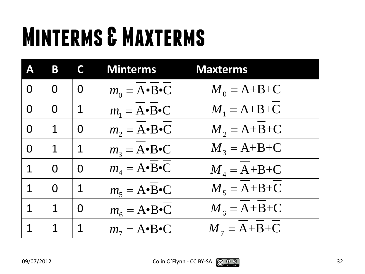# **Minterms & Maxterms**

| Δ           | B              | C           | <b>Minterms</b>                      | <b>Maxterms</b>     |
|-------------|----------------|-------------|--------------------------------------|---------------------|
| $\Omega$    | $\overline{0}$ | $\Omega$    | $m_0 = A \cdot B \cdot C$            | $M_0 = A + B + C$   |
| $\Omega$    | $\Omega$       | $\mathbf 1$ | $m_1 = \overline{A} \cdot B \cdot C$ | $M_1 = A+B+C$       |
| $\Omega$    | $\mathbf 1$    | $\Omega$    | $m_2 = A \cdot B \cdot C$            | $M_2 = A + B + C$   |
| $\Omega$    | 1              | $\mathbf 1$ | $m_3 = A \cdot B \cdot C$            | $M_3 = A + B + C$   |
| 1           | $\Omega$       | $\Omega$    | $m_A = A \cdot B \cdot C$            | $M_{A} = A + B + C$ |
| 1           | $\Omega$       | $\mathbf 1$ | $m_5 = A \cdot B \cdot C$            | $M_5 = A + B + C$   |
| $\mathbf 1$ | $\mathbf 1$    | $\Omega$    | $m_6 = A \cdot B \cdot C$            | $M_{6} = A + B + C$ |
| 1           | 1              | $\mathbf 1$ | $m_7 = A \cdot B \cdot C$            | $M_7 = A + B + C$   |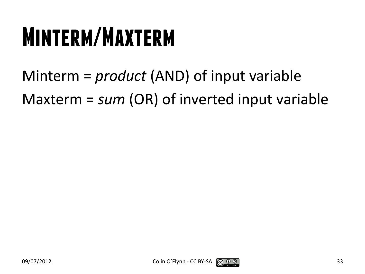### **Minterm/Maxterm**

Minterm = *product* (AND) of input variable Maxterm = *sum* (OR) of inverted input variable

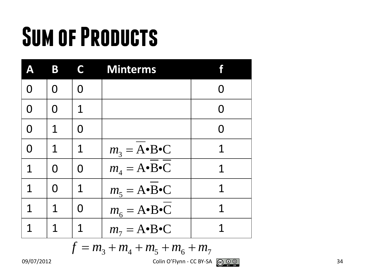# **Sum of Products**

|   | B | C   | <b>Minterms</b>           |   |
|---|---|-----|---------------------------|---|
| O | O | ( ) |                           |   |
| O | O | 1   |                           | O |
| 0 | 1 | O   |                           | O |
| O | 1 | 1   | $m_3 = A \cdot B \cdot C$ | 1 |
| 1 | O | O   | $m_4 = A \cdot B \cdot C$ | 1 |
| 1 | O | 1   | $m_5 = A \cdot B \cdot C$ | 1 |
| 1 | 1 |     | $m_6 = A \cdot B \cdot C$ | 1 |
| 1 | 1 |     | $m_7 = A \cdot B \cdot C$ |   |

$$
f = m_3 + m_4 + m_5 + m_6 + m_7
$$

09/07/2012 Colin O'Flynn - CC BY-SA  $\bigodot_{\mathcal{P}} \mathcal{Q} \bigodot_{\mathcal{P}} \mathcal{Q}$  34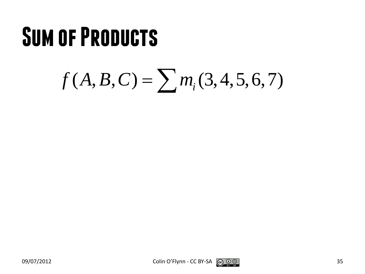#### **Sum of Products**

## $f(A, B, C) = \sum m_i(3, 4, 5, 6, 7)$

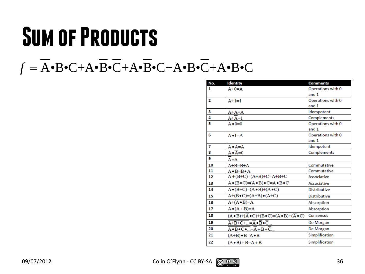## **Sum of Products**

#### $f = \overline{A} \cdot B \cdot C + A \cdot \overline{B} \cdot \overline{C} + A \cdot \overline{B} \cdot C + A \cdot B \cdot \overline{C} + A \cdot B \cdot C$

| No.            | <b>Identity</b>                                                                             | <b>Comments</b>     |
|----------------|---------------------------------------------------------------------------------------------|---------------------|
| 1              | $A+0=A$                                                                                     | Operations with 0   |
|                |                                                                                             | and 1               |
| $\overline{2}$ | $A+1=1$                                                                                     | Operations with 0   |
|                |                                                                                             | and 1               |
| з              | A+A=A                                                                                       | Idempotent          |
| 4              | $A+A=1$                                                                                     | Complements         |
| 5              | $A \bullet 0 = 0$                                                                           | Operations with 0   |
|                |                                                                                             | and $1$             |
| 6              | $A \bullet 1 = A$                                                                           | Operations with 0   |
|                |                                                                                             | and 1               |
| 7              | A•A=A                                                                                       | Idempotent          |
| 8              | $A \cdot \overline{A} = 0$                                                                  | Complements         |
| 9              | A=A                                                                                         |                     |
| 10             | $A+B=B+A$                                                                                   | Commutative         |
| 11             | $A \bullet B = B \bullet A$                                                                 | Commutative         |
| 12             | $A+(B+C)=(A+B)+C=A+B+C$                                                                     | <b>Associative</b>  |
| 13             | $A \bullet (B \bullet C) = (A \bullet B) \bullet C = A \bullet B \bullet C$                 | Associative         |
| 14             | $A \bullet (B+C)=(A \bullet B)+(A \bullet C)$                                               | <b>Distributive</b> |
| 15             | $A+(B\bullet C)=(A+B)\bullet (A+C)$                                                         | <b>Distributive</b> |
| 16             | $A+(A \bullet B)=A$                                                                         | Absorption          |
| 17             | $A \bullet (A + B)=A$                                                                       | Absorption          |
| 18             | $(A \cdot B) + (\overline{A} \cdot C) + (B \cdot C) = (A \cdot B) + (\overline{A} \cdot C)$ | Consensus           |
| 19             | $\overline{A+B+C+}=\overline{A}\bullet\overline{B}\bullet\overline{C}$                      | De Morgan           |
| 20             | $\overline{A \bullet B \bullet C \bullet } = \overline{A} + \overline{B} + \overline{C}$    | De Morgan           |
| 21             | $(A+\overline{B}) \bullet B = A \bullet B$                                                  | Simplification      |
| 22             | $(A \cdot \overline{B}) + B = A + B$                                                        | Simplification      |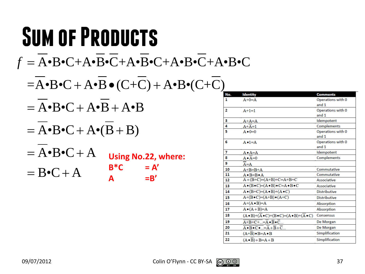#### **Sum of Products** A•B•C+A•B•C+A•B•C+A•B•C+A•B•C *f* =  $=$ A•B•C + A•B • (C+C) + A•B•(C+C)  $= A \cdot B \cdot C + A \cdot B + A \cdot B$  $= A \cdot B \cdot C + A \cdot (B + B)$  $= A \cdot B \cdot C + A$  $= B \cdot C + A$ **Using No.22, where:**  $B^*C = A'$  $A = B'$

| No.            | <b>Identity</b>                                                                             | <b>Comments</b>              |
|----------------|---------------------------------------------------------------------------------------------|------------------------------|
| 1              | $A+0=A$                                                                                     | Operations with 0            |
|                |                                                                                             | and 1                        |
| $\overline{2}$ | $A+1=1$                                                                                     | Operations with 0            |
|                |                                                                                             | and 1                        |
| 3              | $A+A=A$                                                                                     | Idempotent                   |
| 4              | $A+A=1$                                                                                     | Complements                  |
| 5              | $A \bullet 0 = 0$                                                                           | Operations with 0            |
|                |                                                                                             | and 1                        |
| 6              | $A \bullet 1 = A$                                                                           | Operations with 0<br>and $1$ |
| 7              | $A \bullet A = A$                                                                           | Idempotent                   |
| 8              | $A \cdot A = 0$                                                                             | Complements                  |
| 9              | $A = A$                                                                                     |                              |
| 10             | $A+B=B+A$                                                                                   | Commutative                  |
| 11             | $A \bullet B = B \bullet A$                                                                 | Commutative                  |
| 12             | $A+(B+C)=(A+B)+C=A+B+C$                                                                     | Associative                  |
| 13             | $A \bullet (B \bullet C) = (A \bullet B) \bullet C = A \bullet B \bullet C$                 | Associative                  |
| 14             | $A \bullet (B+C)=(A \bullet B)+(A \bullet C)$                                               | <b>Distributive</b>          |
| 15             | $A+(B\bullet C)=(A+B)\bullet (A+C)$                                                         | <b>Distributive</b>          |
| 16             | $A+(A \bullet B)=A$                                                                         | Absorption                   |
| 17             | $A \bullet (A + B)=A$                                                                       | Absorption                   |
| 18             | $(A \cdot B) + (\overline{A} \cdot C) + (B \cdot C) = (A \cdot B) + (\overline{A} \cdot C)$ | Consensus                    |
| 19             |                                                                                             | De Morgan                    |
| 20             | $\overline{A \bullet B \bullet C \bullet } = \overline{A} + \overline{B} + \overline{C} $   | De Morgan                    |
| 21             | $(A+B) \cdot B = A \cdot B$                                                                 | Simplification               |
| 22             | $(A \cdot B) + B = A + B$                                                                   | Simplification               |
|                | $\overline{A+B+C+}=\overline{A}\bullet\overline{B}\bullet\overline{C}$                      |                              |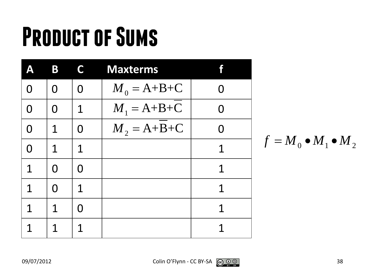|             | B           | C           | <b>Maxterms</b>   |   |
|-------------|-------------|-------------|-------------------|---|
| 0           | O           | O           | $M_0 = A + B + C$ |   |
| $\Omega$    | $\Omega$    | $\mathbf 1$ | $M_1 = A + B + C$ | O |
| $\Omega$    | $\mathbf 1$ | O           | $M_2 = A + B + C$ | O |
| $\Omega$    | $\mathbf 1$ | 1           |                   | 1 |
| 1           | $\Omega$    | O           |                   | 1 |
| $\mathbf 1$ | O           | $\mathbf 1$ |                   | 1 |
| 1           | 1           | N           |                   | 1 |
| 1           | 1           |             |                   |   |

$$
f = M_0 \bullet M_1 \bullet M_2
$$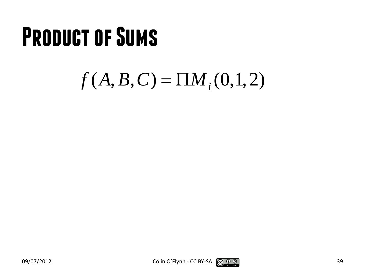#### $f(A, B, C) = \prod M_i(0,1,2)$



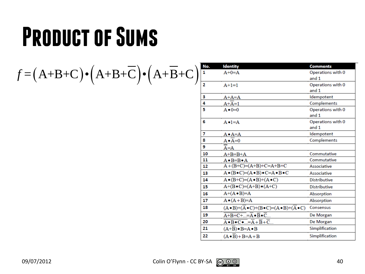$f = (A+B+C) \cdot (A+B+\overline{C}) \cdot (A+\overline{B}+C)$ 

| No.            | <b>Identity</b>                                                                             | <b>Comments</b>            |
|----------------|---------------------------------------------------------------------------------------------|----------------------------|
| 1              | $A+0=A$                                                                                     | Operations with 0          |
|                |                                                                                             | and 1                      |
| $\overline{2}$ | $A+1=1$                                                                                     | Operations with 0          |
|                |                                                                                             | and 1                      |
| з              | $A+A=A$                                                                                     | Idempotent                 |
| 4              | $A+A=1$                                                                                     | Complements                |
| 5              | $A \bullet 0 = 0$                                                                           | Operations with 0          |
|                |                                                                                             | and 1                      |
| 6              | $A \bullet 1 = A$                                                                           | Operations with 0<br>and 1 |
| 7              | $A \bullet A = A$                                                                           | Idempotent                 |
| 8              | $A \bullet A = 0$                                                                           | Complements                |
| 9              | $A = A$                                                                                     |                            |
| 10             | $A+B=B+A$                                                                                   | Commutative                |
| 11             | $A \bullet B = B \bullet A$                                                                 | Commutative                |
| 12             | $A+(B+C)=(A+B)+C=A+B+C$                                                                     | Associative                |
| 13             | $A \bullet (B \bullet C) = (A \bullet B) \bullet C = A \bullet B \bullet C$                 | Associative                |
| 14             | $A \bullet (B+C)=(A \bullet B)+(A \bullet C)$                                               | <b>Distributive</b>        |
| 15             | $A+(B\bullet C)=(A+B)\bullet (A+C)$                                                         | <b>Distributive</b>        |
| 16             | $A+(A \bullet B)=A$                                                                         | Absorption                 |
| 17             | $A \bullet (A + B)=A$                                                                       | Absorption                 |
| 18             | $(A \cdot B) + (\overline{A} \cdot C) + (B \cdot C) = (A \cdot B) + (\overline{A} \cdot C)$ | Consensus                  |
| 19             | $\overline{A+B+C+}=\overline{A}\bullet\overline{B}\bullet\overline{C}$                      | De Morgan                  |
| 20             | $\overline{A \bullet B \bullet C \bullet } = \overline{A} + \overline{B} + \overline{C} $   | De Morgan                  |
| 21             | $(A+\overline{B}) \bullet B = A \bullet B$                                                  | Simplification             |
| 22             | $(A \cdot \overline{B}) + B = A + B$                                                        | Simplification             |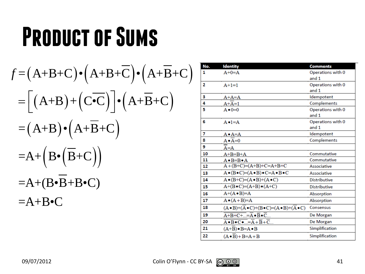$$
f = (A+B+C)\cdot (A+B+\overline{C})\cdot (A+\overline{B}+C)
$$
  
\n
$$
= [(A+B)+(C\cdot\overline{C})]\cdot (A+\overline{B}+C)
$$
  
\n
$$
= (A+B)\cdot (A+\overline{B}+C)
$$
  
\n
$$
=A+(B\cdot(\overline{B}+C))
$$
  
\n
$$
=A+(B\cdot\overline{B}+B\cdot C)
$$
  
\n
$$
=A+B\cdot C
$$

| No. | <b>Identity</b>                                                                             | <b>Comments</b>            |
|-----|---------------------------------------------------------------------------------------------|----------------------------|
| 1   | $A+0=A$                                                                                     | Operations with 0<br>and 1 |
| 2   | $A+1=1$                                                                                     | Operations with 0<br>and 1 |
| з   | $A+A=A$                                                                                     | Idempotent                 |
| 4   | $A+A=1$                                                                                     | Complements                |
| 5   | $A \bullet 0 = 0$                                                                           | Operations with 0<br>and 1 |
| 6   | $A \cdot 1 = A$                                                                             | Operations with 0<br>and 1 |
| 7   | A•A=A                                                                                       | Idempotent                 |
| 8   | $A \bullet A = 0$                                                                           | Complements                |
| 9   | $A = A$                                                                                     |                            |
| 10  | $A+B=B+A$                                                                                   | Commutative                |
| 11  | $A \bullet B = B \bullet A$                                                                 | Commutative                |
| 12  | $A+(B+C)=(A+B)+C=A+B+C$                                                                     | Associative                |
| 13  | $A \bullet (B \bullet C) = (A \bullet B) \bullet C = A \bullet B \bullet C$                 | Associative                |
| 14  | $A \bullet (B+C)=(A \bullet B)+(A \bullet C)$                                               | <b>Distributive</b>        |
| 15  | $A+(B\bullet C)=(A+B)\bullet (A+C)$                                                         | <b>Distributive</b>        |
| 16  | $A+(A \bullet B)=A$                                                                         | Absorption                 |
| 17  | $A \bullet (A + B)=A$                                                                       | Absorption                 |
| 18  | $(A \cdot B) + (\overline{A} \cdot C) + (B \cdot C) = (A \cdot B) + (\overline{A} \cdot C)$ | Consensus                  |
| 19  | $\overline{A+B+C+}=\overline{A}\bullet\overline{B}\bullet\overline{C}$                      | De Morgan                  |
| 20  | $\overline{A \bullet B \bullet C \bullet } = \overline{A} + \overline{B} + \overline{C} $   | De Morgan                  |
| 21  | $(A+\overline{B}) \bullet B = A \bullet B$                                                  | Simplification             |
|     |                                                                                             |                            |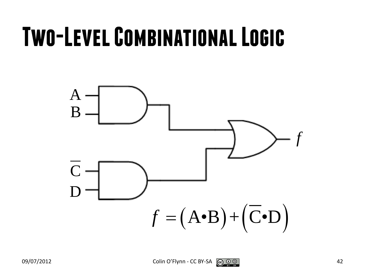#### **Two-Level Combinational Logic**